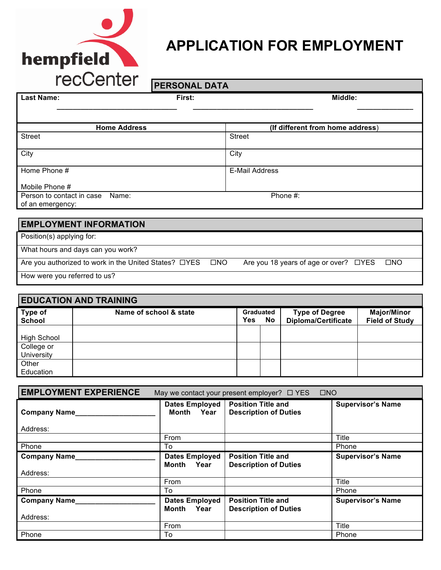

## **APPLICATION FOR EMPLOYMENT**

# **PERSONAL DATA**

| <b>Last Name:</b>                                     | First: |              | Middle:                               |              |
|-------------------------------------------------------|--------|--------------|---------------------------------------|--------------|
|                                                       |        |              |                                       |              |
| <b>Home Address</b>                                   |        |              | (If different from home address)      |              |
| <b>Street</b>                                         |        |              | <b>Street</b>                         |              |
| City                                                  |        |              | City                                  |              |
| Home Phone #                                          |        |              | <b>E-Mail Address</b>                 |              |
| Mobile Phone #                                        |        |              |                                       |              |
| Person to contact in case Name:<br>of an emergency:   |        |              | Phone #:                              |              |
|                                                       |        |              |                                       |              |
| <b>EMPLOYMENT INFORMATION</b>                         |        |              |                                       |              |
| Position(s) applying for:                             |        |              |                                       |              |
| What hours and days can you work?                     |        |              |                                       |              |
| Are you authorized to work in the United States? □YES |        | $\square$ NO | Are you 18 years of age or over? □YES | $\square$ NO |
| How were you referred to us?                          |        |              |                                       |              |
|                                                       |        |              |                                       |              |
| <b>EDUCATION AND TRAINING</b>                         |        |              |                                       |              |

| <b>EDUCATION AND TRAINING</b> |                        |                  |           |                                                     |                                             |
|-------------------------------|------------------------|------------------|-----------|-----------------------------------------------------|---------------------------------------------|
| Type of<br><b>School</b>      | Name of school & state | Graduated<br>Yes | <b>No</b> | <b>Type of Degree</b><br><b>Diploma/Certificate</b> | <b>Major/Minor</b><br><b>Field of Study</b> |
|                               |                        |                  |           |                                                     |                                             |
| <b>High School</b>            |                        |                  |           |                                                     |                                             |
| College or                    |                        |                  |           |                                                     |                                             |
| University                    |                        |                  |           |                                                     |                                             |
| Other                         |                        |                  |           |                                                     |                                             |
| Education                     |                        |                  |           |                                                     |                                             |

| <b>EMPLOYMENT EXPERIENCE</b> | $\square$ NO<br>May we contact your present employer? $\Box$ YES |                                                           |                          |  |  |
|------------------------------|------------------------------------------------------------------|-----------------------------------------------------------|--------------------------|--|--|
| <b>Company Name</b>          | Dates Employed<br>Month Year I                                   | <b>Position Title and</b><br><b>Description of Duties</b> | <b>Supervisor's Name</b> |  |  |
| Address:                     |                                                                  |                                                           |                          |  |  |
|                              | From                                                             |                                                           | Title                    |  |  |
| Phone                        | To                                                               |                                                           | Phone                    |  |  |
| <b>Company Name</b>          | <b>Dates Employed</b><br>Month Year                              | <b>Position Title and</b><br><b>Description of Duties</b> | <b>Supervisor's Name</b> |  |  |
| Address:                     |                                                                  |                                                           |                          |  |  |
|                              | From                                                             |                                                           | Title                    |  |  |
| Phone                        | To                                                               |                                                           | Phone                    |  |  |
| <b>Company Name</b>          | <b>Dates Employed</b><br>Month Year                              | <b>Position Title and</b><br><b>Description of Duties</b> | <b>Supervisor's Name</b> |  |  |
| Address:                     |                                                                  |                                                           |                          |  |  |
|                              | From                                                             |                                                           | <b>Title</b>             |  |  |
| Phone                        | To                                                               |                                                           | Phone                    |  |  |